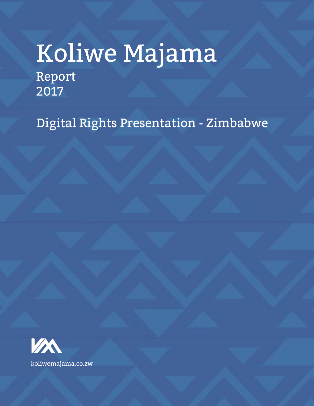# Koliwe Majama Report 2017

Digital Rights Presentation - Zimbabwe

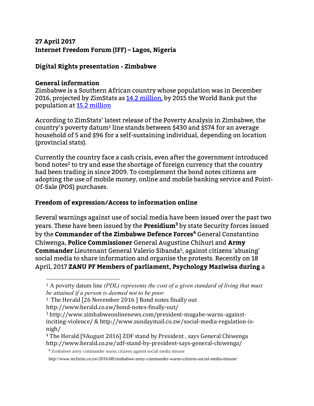# **27 April 2017 Internet Freedom Forum (IFF) – Lagos, Nigeria**

# **Digital Rights presentation - Zimbabwe**

#### **General information**

 $\overline{a}$ 

Zimbabwe is a Southern African country whose population was in December 2016, projected by ZimStats as 14.2 million, by 2015 the World Bank put the population at [15.2 million](http://data.worldbank.org/country/zimbabwe)

According to ZimStats' latest release of the Poverty Analysis in Zimbabwe, the country's poverty datum<sup>1</sup> line stands between \$430 and \$574 for an average household of 5 and \$96 for a self-sustaining individual, depending on location (provincial stats).

Currently the country face a cash crisis, even after the government introduced bond notes<sup>2</sup> to try and ease the shortage of foreign currency that the country had been trading in since 2009. To complement the bond notes citizens are adopting the use of mobile money, online and mobile banking service and Point-Of-Sale (POS) purchases.

#### **Freedom of expression/Access to information online**

Several warnings against use of social media have been issued over the past two years. These have been issued by the **Presidium<sup>3</sup>** by state Security forces issued by the **Commander of the Zimbabwe Defence Forces<sup>4</sup>** General Constantino Chiwenga, **Police Commissioner** General Augustine Chihuri and **Army Commander** Lieutenant General Valerio Sibanda<sup>5</sup> , against citizens 'abusing' social media to share information and organise the protests. Recently on 18 April, 2017 **ZANU PF Members of parliament, Psychology Maziwisa during** a

<sup>1</sup> A poverty datum line *(PDL) represents the cost of a given standard of living that must be attained if a person is deemed not to be poor.*

<sup>2</sup> The Herald [26 November 2016 ] Bond notes finally out

http://www.herald.co.zw/bond-notes-finally-out/

<sup>3</sup> http://www.zimbabweonlinenews.com/president-mugabe-warns-againstinciting-violence/ & http://www.sundaymail.co.zw/social-media-regulation-isnigh/

<sup>4</sup> The Herald [9August 2016] ZDF stand by President , says General Chiwenga http://www.herald.co.zw/zdf-stand-by-president-says-general-chiwenga/

**<sup>5</sup>** Zimbabwe army commander warns citizens against social media misuse

http://www.techzim.co.zw/2016/08/zimbabwe-army-commander-warns-citizens-social-media-misuse/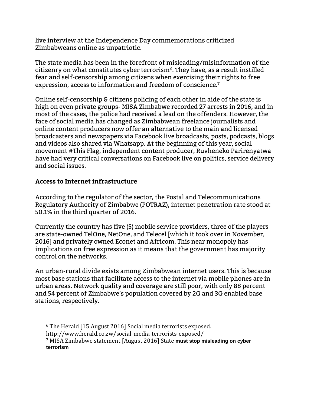live interview at the Independence Day commemorations criticized Zimbabweans online as unpatriotic.

The state media has been in the forefront of misleading/misinformation of the citizenry on what constitutes cyber terrorism<sup>6</sup>. They have, as a result instilled fear and self-censorship among citizens when exercising their rights to free expression, access to information and freedom of conscience.<sup>7</sup>

Online self-censorship & citizens policing of each other in aide of the state is high on even private groups- MISA Zimbabwe recorded 27 arrests in 2016, and in most of the cases, the police had received a lead on the offenders. However, the face of social media has changed as Zimbabwean freelance journalists and online content producers now offer an alternative to the main and licensed broadcasters and newspapers via Facebook live broadcasts, posts, podcasts, blogs and videos also shared via Whatsapp. At the beginning of this year, social movement #This Flag, independent content producer, Ruvheneko Parirenyatwa have had very critical conversations on Facebook live on politics, service delivery and social issues.

## **Access to Internet infrastructure**

According to the regulator of the sector, the Postal and Telecommunications Regulatory Authority of Zimbabwe (POTRAZ), internet penetration rate stood at 50.1% in the third quarter of 2016.

Currently the country has five (5) mobile service providers, three of the players are state-owned TelOne, NetOne, and Telecel [which it took over in November, 2016] and privately owned Econet and Africom. This near monopoly has implications on free expression as it means that the government has majority control on the networks.

An urban-rural divide exists among Zimbabwean internet users. This is because most base stations that facilitate access to the internet via mobile phones are in urban areas. Network quality and coverage are still poor, with only 88 percent and 54 percent of Zimbabwe's population covered by 2G and 3G enabled base stations, respectively.

- $\overline{a}$ <sup>6</sup> The Herald [15 August 2016] Social media terrorists exposed.
- http://www.herald.co.zw/social-media-terrorists-exposed/

<sup>7</sup> MISA Zimbabwe statement [August 2016] State **must stop misleading on cyber terrorism**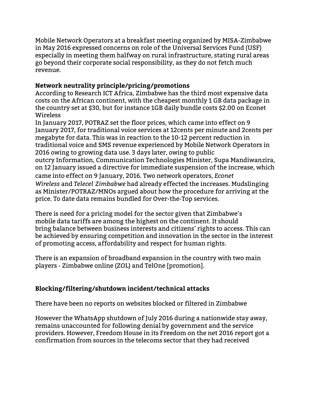Mobile Network Operators at a breakfast meeting organized by MISA-Zimbabwe in May 2016 expressed concerns on role of the Universal Services Fund (USF) especially in meeting them halfway on rural infrastructure, stating rural areas go beyond their corporate social responsibility, as they do not fetch much revenue.

## **Network neutrality principle/pricing/promotions**

According to Research ICT Africa, Zimbabwe has the third most expensive data costs on the African continent, with the cheapest monthly 1 GB data package in the country set at \$30, but for instance 1GB daily bundle costs \$2.00 on Econet Wireless

In January 2017, POTRAZ set the floor prices, which came into effect on 9 January 2017, for traditional voice services at 12cents per minute and 2cents per megabyte for data. This was in reaction to the 10-12 percent reduction in traditional voice and SMS revenue experienced by Mobile Network Operators in 2016 owing to growing data use. 3 days later, owing to public outcry Information, Communication Technologies Minister, Supa Mandiwanzira, on 12 January issued a directive for immediate suspension of the increase, which came into effect on 9 January, 2016. Two network operators, *Econet Wireless* and *Telecel Zimbabwe* had already effected the increases. Mudslinging as Minister/POTRAZ/MNOs argued about how the procedure for arriving at the price. To date data remains bundled for Over-the-Top services.

There is need for a pricing model for the sector given that Zimbabwe's mobile data tariffs are among the highest on the continent. It should bring balance between business interests and citizens' rights to access. This can be achieved by ensuring competition and innovation in the sector in the interest of promoting access, affordability and respect for human rights.

There is an expansion of broadband expansion in the country with two main players - Zimbabwe online (ZOL) and TelOne [promotion].

#### **Blocking/filtering/shutdown incident/technical attacks**

There have been no reports on websites blocked or filtered in Zimbabwe

However the WhatsApp shutdown of July 2016 during a nationwide stay away, remains unaccounted for following denial by government and the service providers. However, Freedom House in its Freedom on the net 2016 report got a confirmation from sources in the telecoms sector that they had received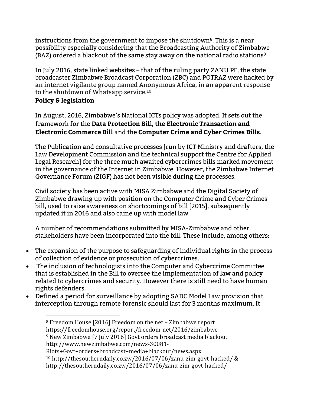instructions from the government to impose the shutdown<sup>8</sup>. This is a near possibility especially considering that the Broadcasting Authority of Zimbabwe (BAZ) ordered a blackout of the same stay away on the national radio stations<sup>9</sup>

In July 2016, state linked websites – that of the ruling party ZANU PF, the state broadcaster Zimbabwe Broadcast Corporation (ZBC) and POTRAZ were hacked by an internet vigilante group named Anonymous Africa, in an apparent response to the shutdown of Whatsapp service.<sup>10</sup>

# **Policy & legislation**

In August, 2016, Zimbabwe's National ICTs policy was adopted. It sets out the framework for the **Data Protection Bil**l, **the Electronic Transaction and Electronic Commerce Bill** and the **Computer Crime and Cyber Crimes Bills**.

The Publication and consultative processes [run by ICT Ministry and drafters, the Law Development Commission and the technical support the Centre for Applied Legal Research] for the three much awaited cybercrimes bills marked movement in the governance of the Internet in Zimbabwe. However, the Zimbabwe Internet Governance Forum (ZIGF) has not been visible during the processes.

Civil society has been active with MISA Zimbabwe and the Digital Society of Zimbabwe drawing up with position on the Computer Crime and Cyber Crimes bill, used to raise awareness on shortcomings of bill [2015], subsequently updated it in 2016 and also came up with model law

A number of recommendations submitted by MISA-Zimbabwe and other stakeholders have been incorporated into the bill. These include, among others:

- The expansion of the purpose to safeguarding of individual rights in the process of collection of evidence or prosecution of cybercrimes.
- The inclusion of technologists into the Computer and Cybercrime Committee that is established in the Bill to oversee the implementation of law and policy related to cybercrimes and security. However there is still need to have human rights defenders.
- Defined a period for surveillance by adopting SADC Model Law provision that interception through remote forensic should last for 3 months maximum. It

 $\overline{a}$ <sup>8</sup> Freedom House [2016] Freedom on the net – Zimbabwe report https://freedomhouse.org/report/freedom-net/2016/zimbabwe <sup>9</sup> New Zimbabwe [7 July 2016] Govt orders broadcast media blackout http://www.newzimbabwe.com/news-30081-

Riots+Govt+orders+broadcast+media+blackout/news.aspx <sup>10</sup> http://thesoutherndaily.co.zw/2016/07/06/zanu-zim-govt-hacked/ &

http://thesoutherndaily.co.zw/2016/07/06/zanu-zim-govt-hacked/